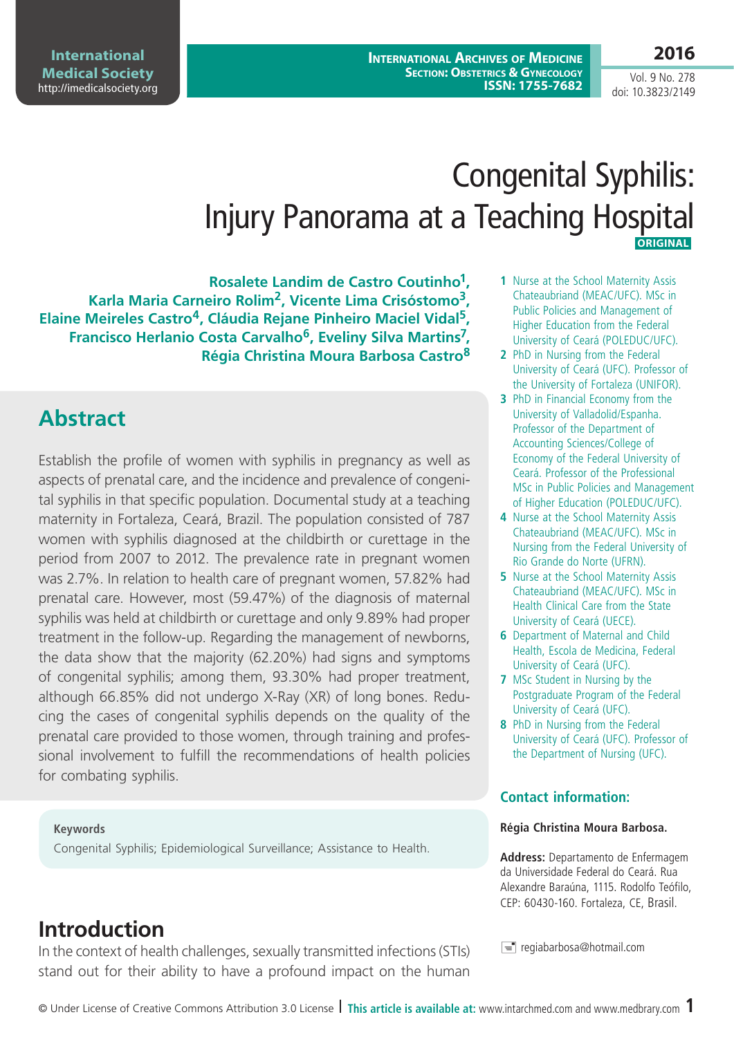**International Archives of Medicine SECTION: OBSTETRICS & GYNECOLOGY ISSN: 1755-7682** **2016**

Vol. 9 No. 278 doi: 10.3823/2149

# Congenital Syphilis: Injury Panorama at a Teaching Hospital **ORIGINAL**

**Rosalete Landim de Castro Coutinho1, Karla Maria Carneiro Rolim2, Vicente Lima Crisóstomo3, Elaine Meireles Castro4, Cláudia Rejane Pinheiro Maciel Vidal5, Francisco Herlanio Costa Carvalho6, Eveliny Silva Martins7, Régia Christina Moura Barbosa Castro<sup>8</sup>**

## **Abstract**

Establish the profile of women with syphilis in pregnancy as well as aspects of prenatal care, and the incidence and prevalence of congenital syphilis in that specific population. Documental study at a teaching maternity in Fortaleza, Ceará, Brazil. The population consisted of 787 women with syphilis diagnosed at the childbirth or curettage in the period from 2007 to 2012. The prevalence rate in pregnant women was 2.7%. In relation to health care of pregnant women, 57.82% had prenatal care. However, most (59.47%) of the diagnosis of maternal syphilis was held at childbirth or curettage and only 9.89% had proper treatment in the follow-up. Regarding the management of newborns, the data show that the majority (62.20%) had signs and symptoms of congenital syphilis; among them, 93.30% had proper treatment, although 66.85% did not undergo X-Ray (XR) of long bones. Reducing the cases of congenital syphilis depends on the quality of the prenatal care provided to those women, through training and professional involvement to fulfill the recommendations of health policies for combating syphilis.

#### **Keywords**

Congenital Syphilis; Epidemiological Surveillance; Assistance to Health.

### **Introduction**

In the context of health challenges, sexually transmitted infections (STIs) stand out for their ability to have a profound impact on the human

- **1** Nurse at the School Maternity Assis Chateaubriand (MEAC/UFC). MSc in Public Policies and Management of Higher Education from the Federal University of Ceará (POLEDUC/UFC).
- **2** PhD in Nursing from the Federal University of Ceará (UFC). Professor of the University of Fortaleza (UNIFOR).
- **3** PhD in Financial Economy from the University of Valladolid/Espanha. Professor of the Department of Accounting Sciences/College of Economy of the Federal University of Ceará. Professor of the Professional MSc in Public Policies and Management of Higher Education (POLEDUC/UFC).
- **4** Nurse at the School Maternity Assis Chateaubriand (MEAC/UFC). MSc in Nursing from the Federal University of Rio Grande do Norte (UFRN).
- **5** Nurse at the School Maternity Assis Chateaubriand (MEAC/UFC). MSc in Health Clinical Care from the State University of Ceará (UECE).
- **6** Department of Maternal and Child Health, Escola de Medicina, Federal University of Ceará (UFC).
- **7** MSc Student in Nursing by the Postgraduate Program of the Federal University of Ceará (UFC).
- **8** PhD in Nursing from the Federal University of Ceará (UFC). Professor of the Department of Nursing (UFC).

#### **Contact information:**

#### **Régia Christina Moura Barbosa.**

**Address:** Departamento de Enfermagem da Universidade Federal do Ceará. Rua Alexandre Baraúna, 1115. Rodolfo Teófilo, CEP: 60430-160. Fortaleza, CE, Brasil.

 $\equiv$  regiabarbosa@hotmail.com

#### © Under License of Creative Commons Attribution 3.0 License **| This article is available at:** www.intarchmed.com and www.medbrary.com 1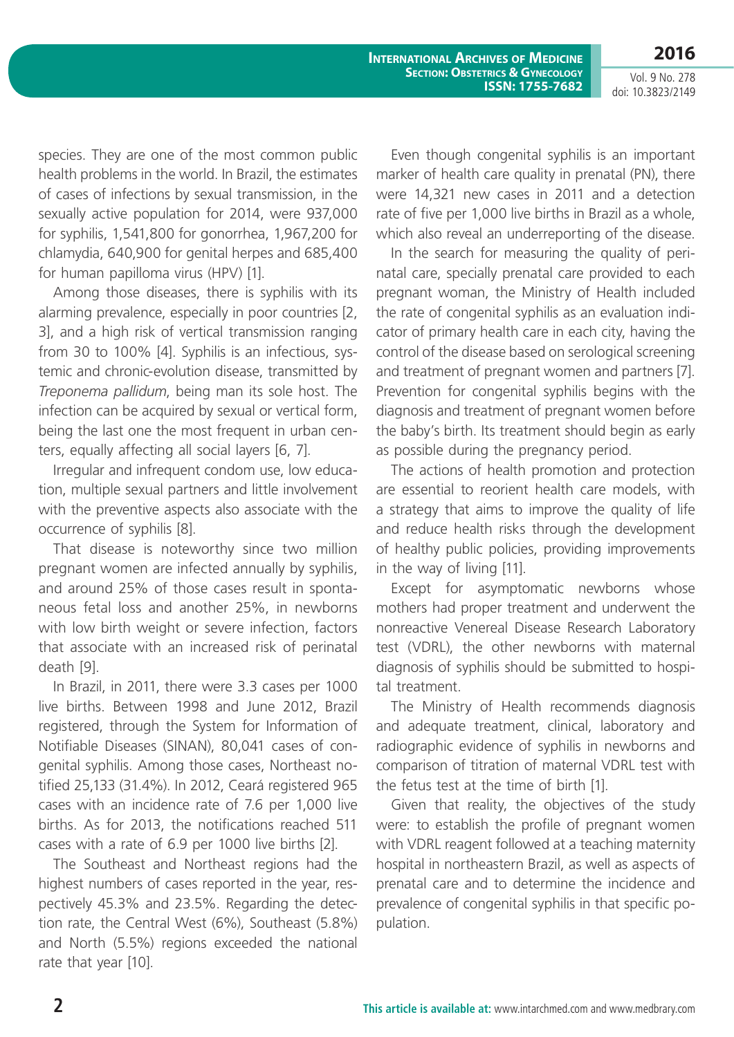**2016**

Vol. 9 No. 278 doi: 10.3823/2149

species. They are one of the most common public health problems in the world. In Brazil, the estimates of cases of infections by sexual transmission, in the sexually active population for 2014, were 937,000 for syphilis, 1,541,800 for gonorrhea, 1,967,200 for chlamydia, 640,900 for genital herpes and 685,400 for human papilloma virus (HPV) [1].

Among those diseases, there is syphilis with its alarming prevalence, especially in poor countries [2, 3], and a high risk of vertical transmission ranging from 30 to 100% [4]. Syphilis is an infectious, systemic and chronic-evolution disease, transmitted by *Treponema pallidum*, being man its sole host. The infection can be acquired by sexual or vertical form, being the last one the most frequent in urban centers, equally affecting all social layers [6, 7].

Irregular and infrequent condom use, low education, multiple sexual partners and little involvement with the preventive aspects also associate with the occurrence of syphilis [8].

That disease is noteworthy since two million pregnant women are infected annually by syphilis, and around 25% of those cases result in spontaneous fetal loss and another 25%, in newborns with low birth weight or severe infection, factors that associate with an increased risk of perinatal death [9].

In Brazil, in 2011, there were 3.3 cases per 1000 live births. Between 1998 and June 2012, Brazil registered, through the System for Information of Notifiable Diseases (SINAN), 80,041 cases of congenital syphilis. Among those cases, Northeast notified 25,133 (31.4%). In 2012, Ceará registered 965 cases with an incidence rate of 7.6 per 1,000 live births. As for 2013, the notifications reached 511 cases with a rate of 6.9 per 1000 live births [2].

The Southeast and Northeast regions had the highest numbers of cases reported in the year, respectively 45.3% and 23.5%. Regarding the detection rate, the Central West (6%), Southeast (5.8%) and North (5.5%) regions exceeded the national rate that year [10].

Even though congenital syphilis is an important marker of health care quality in prenatal (PN), there were 14,321 new cases in 2011 and a detection rate of five per 1,000 live births in Brazil as a whole, which also reveal an underreporting of the disease.

In the search for measuring the quality of perinatal care, specially prenatal care provided to each pregnant woman, the Ministry of Health included the rate of congenital syphilis as an evaluation indicator of primary health care in each city, having the control of the disease based on serological screening and treatment of pregnant women and partners [7]. Prevention for congenital syphilis begins with the diagnosis and treatment of pregnant women before the baby's birth. Its treatment should begin as early as possible during the pregnancy period.

The actions of health promotion and protection are essential to reorient health care models, with a strategy that aims to improve the quality of life and reduce health risks through the development of healthy public policies, providing improvements in the way of living [11].

Except for asymptomatic newborns whose mothers had proper treatment and underwent the nonreactive Venereal Disease Research Laboratory test (VDRL), the other newborns with maternal diagnosis of syphilis should be submitted to hospital treatment.

The Ministry of Health recommends diagnosis and adequate treatment, clinical, laboratory and radiographic evidence of syphilis in newborns and comparison of titration of maternal VDRL test with the fetus test at the time of birth [1].

Given that reality, the objectives of the study were: to establish the profile of pregnant women with VDRL reagent followed at a teaching maternity hospital in northeastern Brazil, as well as aspects of prenatal care and to determine the incidence and prevalence of congenital syphilis in that specific population.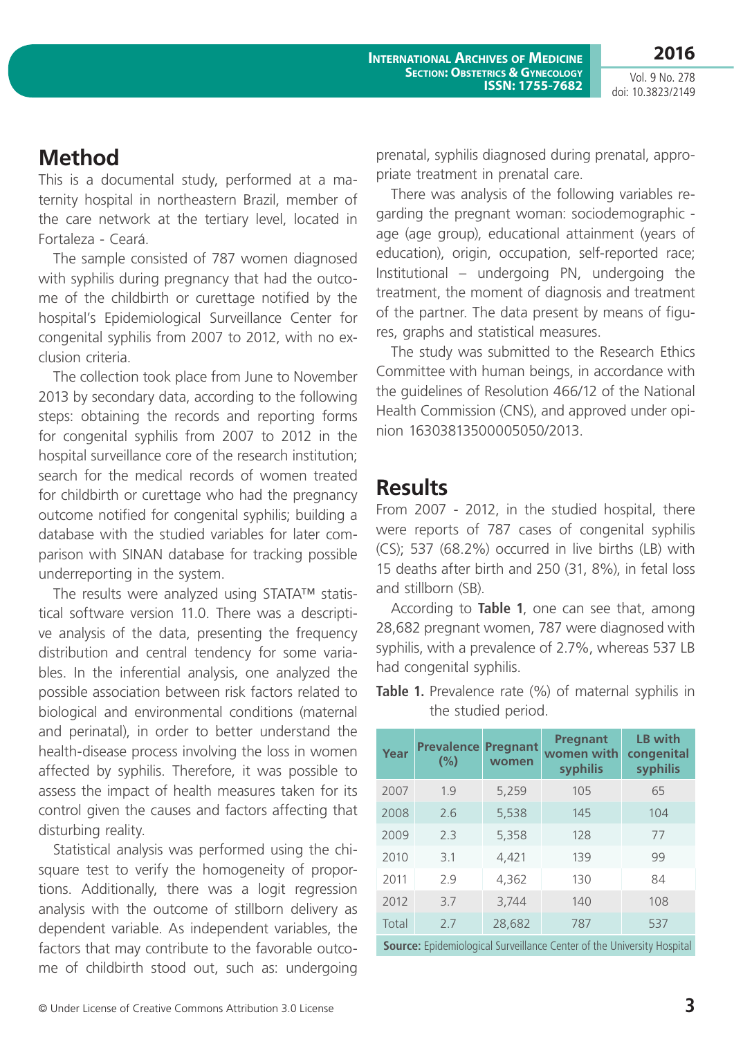**2016**

Vol. 9 No. 278 doi: 10.3823/2149

## **Method**

This is a documental study, performed at a maternity hospital in northeastern Brazil, member of the care network at the tertiary level, located in Fortaleza - Ceará.

The sample consisted of 787 women diagnosed with syphilis during pregnancy that had the outcome of the childbirth or curettage notified by the hospital's Epidemiological Surveillance Center for congenital syphilis from 2007 to 2012, with no exclusion criteria.

The collection took place from June to November 2013 by secondary data, according to the following steps: obtaining the records and reporting forms for congenital syphilis from 2007 to 2012 in the hospital surveillance core of the research institution; search for the medical records of women treated for childbirth or curettage who had the pregnancy outcome notified for congenital syphilis; building a database with the studied variables for later comparison with SINAN database for tracking possible underreporting in the system.

The results were analyzed using STATA™ statistical software version 11.0. There was a descriptive analysis of the data, presenting the frequency distribution and central tendency for some variables. In the inferential analysis, one analyzed the possible association between risk factors related to biological and environmental conditions (maternal and perinatal), in order to better understand the health-disease process involving the loss in women affected by syphilis. Therefore, it was possible to assess the impact of health measures taken for its control given the causes and factors affecting that disturbing reality.

Statistical analysis was performed using the chisquare test to verify the homogeneity of proportions. Additionally, there was a logit regression analysis with the outcome of stillborn delivery as dependent variable. As independent variables, the factors that may contribute to the favorable outcome of childbirth stood out, such as: undergoing prenatal, syphilis diagnosed during prenatal, appropriate treatment in prenatal care.

There was analysis of the following variables regarding the pregnant woman: sociodemographic age (age group), educational attainment (years of education), origin, occupation, self-reported race; Institutional – undergoing PN, undergoing the treatment, the moment of diagnosis and treatment of the partner. The data present by means of figures, graphs and statistical measures.

The study was submitted to the Research Ethics Committee with human beings, in accordance with the guidelines of Resolution 466/12 of the National Health Commission (CNS), and approved under opinion 16303813500005050/2013.

### **Results**

From 2007 - 2012, in the studied hospital, there were reports of 787 cases of congenital syphilis (CS); 537 (68.2%) occurred in live births (LB) with 15 deaths after birth and 250 (31, 8%), in fetal loss and stillborn (SB).

According to **Table 1**, one can see that, among 28,682 pregnant women, 787 were diagnosed with syphilis, with a prevalence of 2.7%, whereas 537 LB had congenital syphilis.

**Table 1.** Prevalence rate (%) of maternal syphilis in the studied period. **Pregnant LB with** 

| Year                                                                          | <b>Prevalence</b><br>(%) | <b>Pregnant</b><br>women | <b>Pregnant</b><br>women with<br>syphilis | <b>LB</b> with<br>congenital<br>syphilis |  |  |
|-------------------------------------------------------------------------------|--------------------------|--------------------------|-------------------------------------------|------------------------------------------|--|--|
| 2007                                                                          | 1.9                      | 5,259                    | 105                                       | 65                                       |  |  |
| 2008                                                                          | 2.6                      | 5,538                    | 145                                       | 104                                      |  |  |
| 2009                                                                          | 2.3                      | 5,358                    | 128                                       | 77                                       |  |  |
| 2010                                                                          | 3.1                      | 4,421                    | 139                                       | 99                                       |  |  |
| 2011                                                                          | 7.9                      | 4,362                    | 130                                       | 84                                       |  |  |
| 2012                                                                          | 3.7                      | 3,744                    | 140                                       | 108                                      |  |  |
| Total                                                                         | 7.7                      | 28,682                   | 787                                       | 537                                      |  |  |
| <b>Source:</b> Epidemiological Surveillance Center of the University Hospital |                          |                          |                                           |                                          |  |  |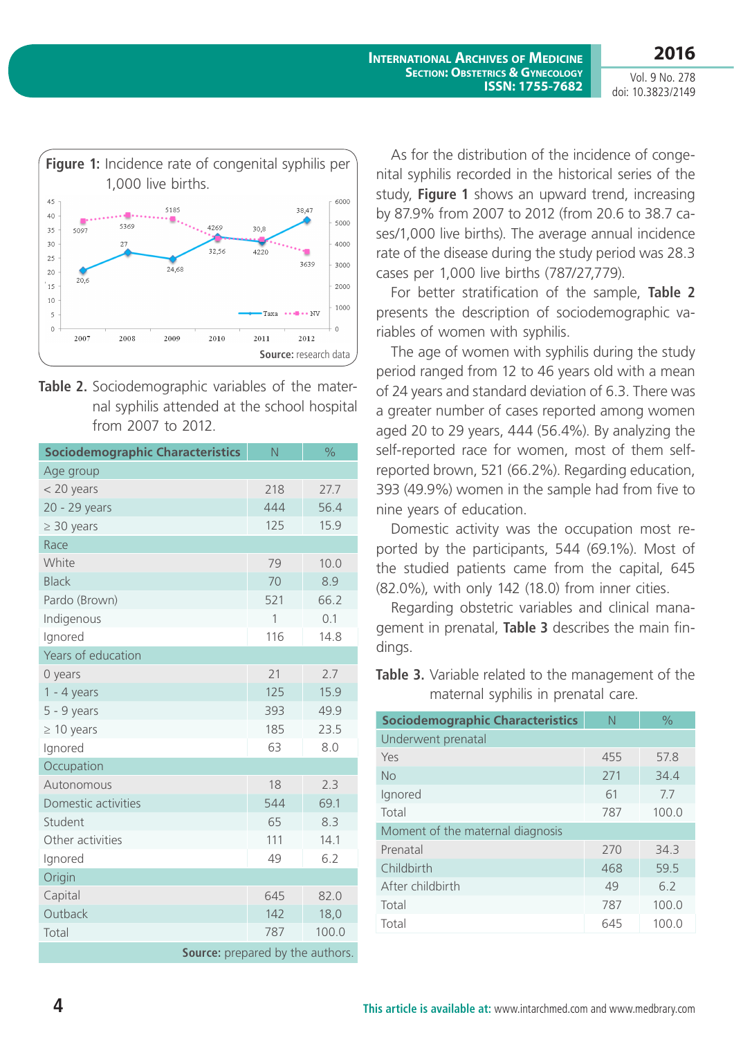Vol. 9 No. 278 doi: 10.3823/2149

**2016**



**Table 2.** Sociodemographic variables of the maternal syphilis attended at the school hospital from 2007 to 2012.

| <b>Sociodemographic Characteristics</b> | Ñ   | $\frac{0}{0}$ |  |  |
|-----------------------------------------|-----|---------------|--|--|
| Age group                               |     |               |  |  |
| < 20 years                              | 218 | 27.7          |  |  |
| 20 - 29 years                           | 444 | 56.4          |  |  |
| $\geq 30$ years                         | 125 | 15.9          |  |  |
| Race                                    |     |               |  |  |
| White                                   | 79  | 10.0          |  |  |
| <b>Black</b>                            | 70  | 8.9           |  |  |
| Pardo (Brown)                           | 521 | 66.2          |  |  |
| Indigenous                              | 1   | 0.1           |  |  |
| Ignored                                 | 116 | 14.8          |  |  |
| Years of education                      |     |               |  |  |
| 0 years                                 | 21  | 2.7           |  |  |
| $1 - 4$ years                           | 125 | 15.9          |  |  |
| $5 - 9$ years                           | 393 | 49.9          |  |  |
| $\geq 10$ years                         | 185 | 23.5          |  |  |
| Ignored                                 | 63  | 8.0           |  |  |
| Occupation                              |     |               |  |  |
| Autonomous                              | 18  | 2.3           |  |  |
| Domestic activities                     | 544 | 69.1          |  |  |
| Student                                 | 65  | 8.3           |  |  |
| Other activities                        | 111 | 14.1          |  |  |
| Ignored                                 | 49  | 6.2           |  |  |
| Origin                                  |     |               |  |  |
| Capital                                 | 645 | 82.0          |  |  |
| Outback                                 | 142 | 18,0          |  |  |
| Total                                   | 787 | 100.0         |  |  |
| Source: prepared by the authors.        |     |               |  |  |

As for the distribution of the incidence of congenital syphilis recorded in the historical series of the study, **Figure 1** shows an upward trend, increasing by 87.9% from 2007 to 2012 (from 20.6 to 38.7 cases/1,000 live births). The average annual incidence rate of the disease during the study period was 28.3 cases per 1,000 live births (787/27,779).

For better stratification of the sample, **Table 2** presents the description of sociodemographic variables of women with syphilis.

The age of women with syphilis during the study period ranged from 12 to 46 years old with a mean of 24 years and standard deviation of 6.3. There was a greater number of cases reported among women aged 20 to 29 years, 444 (56.4%). By analyzing the self-reported race for women, most of them selfreported brown, 521 (66.2%). Regarding education, 393 (49.9%) women in the sample had from five to nine years of education.

Domestic activity was the occupation most reported by the participants, 544 (69.1%). Most of the studied patients came from the capital, 645 (82.0%), with only 142 (18.0) from inner cities.

Regarding obstetric variables and clinical management in prenatal, **Table 3** describes the main findings.

**Table 3.** Variable related to the management of the maternal syphilis in prenatal care.

| <b>Sociodemographic Characteristics</b> | N   | $\%$  |  |  |  |
|-----------------------------------------|-----|-------|--|--|--|
| Underwent prenatal                      |     |       |  |  |  |
| Yes                                     | 455 | 57.8  |  |  |  |
| No                                      | 271 | 34.4  |  |  |  |
| Ignored                                 | 61  | 7.7   |  |  |  |
| Total                                   | 787 | 100.0 |  |  |  |
| Moment of the maternal diagnosis        |     |       |  |  |  |
| Prenatal                                | 270 | 34.3  |  |  |  |
| Childbirth                              | 468 | 59.5  |  |  |  |
| After childbirth                        | 49  | 6.2   |  |  |  |
| Total                                   | 787 | 100.0 |  |  |  |
| Total                                   | 645 | 100.0 |  |  |  |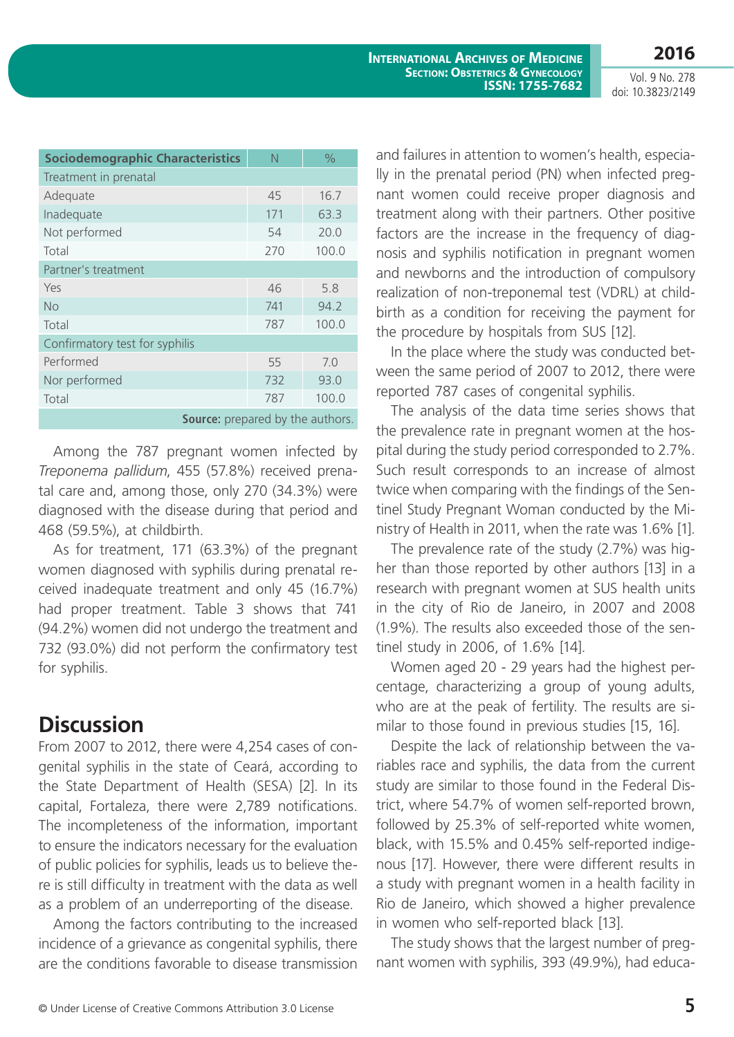Vol. 9 No. 278 doi: 10.3823/2149

**2016**

| <b>Sociodemographic Characteristics</b> | N   | $\frac{0}{0}$ |  |  |  |
|-----------------------------------------|-----|---------------|--|--|--|
| Treatment in prenatal                   |     |               |  |  |  |
| Adequate                                | 45  | 16.7          |  |  |  |
| Inadequate                              | 171 | 63.3          |  |  |  |
| Not performed                           | 54  | 20.0          |  |  |  |
| Total                                   | 270 | 100.0         |  |  |  |
| Partner's treatment                     |     |               |  |  |  |
| Yes                                     | 46  | 5.8           |  |  |  |
| <b>No</b>                               | 741 | 94.2          |  |  |  |
| Total                                   | 787 | 100.0         |  |  |  |
| Confirmatory test for syphilis          |     |               |  |  |  |
| Performed                               | 55  | 7.0           |  |  |  |
| Nor performed                           | 732 | 93.0          |  |  |  |
| Total                                   | 787 | 100.0         |  |  |  |
| <b>Source:</b> prepared by the authors. |     |               |  |  |  |

Among the 787 pregnant women infected by *Treponema pallidum*, 455 (57.8%) received prenatal care and, among those, only 270 (34.3%) were diagnosed with the disease during that period and 468 (59.5%), at childbirth.

As for treatment, 171 (63.3%) of the pregnant women diagnosed with syphilis during prenatal received inadequate treatment and only 45 (16.7%) had proper treatment. Table 3 shows that 741 (94.2%) women did not undergo the treatment and 732 (93.0%) did not perform the confirmatory test for syphilis.

#### **Discussion**

From 2007 to 2012, there were 4,254 cases of congenital syphilis in the state of Ceará, according to the State Department of Health (SESA) [2]. In its capital, Fortaleza, there were 2,789 notifications. The incompleteness of the information, important to ensure the indicators necessary for the evaluation of public policies for syphilis, leads us to believe there is still difficulty in treatment with the data as well as a problem of an underreporting of the disease.

Among the factors contributing to the increased incidence of a grievance as congenital syphilis, there are the conditions favorable to disease transmission

and failures in attention to women's health, especially in the prenatal period (PN) when infected pregnant women could receive proper diagnosis and treatment along with their partners. Other positive factors are the increase in the frequency of diagnosis and syphilis notification in pregnant women and newborns and the introduction of compulsory realization of non-treponemal test (VDRL) at childbirth as a condition for receiving the payment for the procedure by hospitals from SUS [12].

In the place where the study was conducted between the same period of 2007 to 2012, there were reported 787 cases of congenital syphilis.

The analysis of the data time series shows that the prevalence rate in pregnant women at the hospital during the study period corresponded to 2.7%. Such result corresponds to an increase of almost twice when comparing with the findings of the Sentinel Study Pregnant Woman conducted by the Ministry of Health in 2011, when the rate was 1.6% [1].

The prevalence rate of the study (2.7%) was higher than those reported by other authors [13] in a research with pregnant women at SUS health units in the city of Rio de Janeiro, in 2007 and 2008 (1.9%). The results also exceeded those of the sentinel study in 2006, of 1.6% [14].

Women aged 20 - 29 years had the highest percentage, characterizing a group of young adults, who are at the peak of fertility. The results are similar to those found in previous studies [15, 16].

Despite the lack of relationship between the variables race and syphilis, the data from the current study are similar to those found in the Federal District, where 54.7% of women self-reported brown, followed by 25.3% of self-reported white women, black, with 15.5% and 0.45% self-reported indigenous [17]. However, there were different results in a study with pregnant women in a health facility in Rio de Janeiro, which showed a higher prevalence in women who self-reported black [13].

The study shows that the largest number of pregnant women with syphilis, 393 (49.9%), had educa-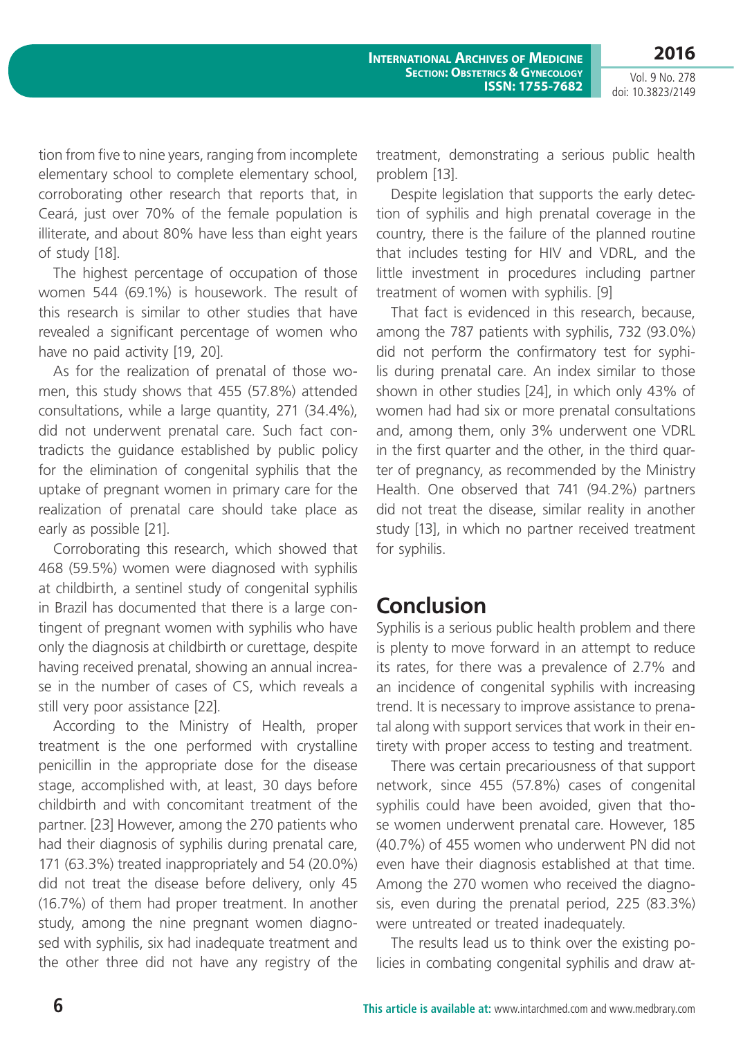**2016**

Vol. 9 No. 278 doi: 10.3823/2149

tion from five to nine years, ranging from incomplete elementary school to complete elementary school, corroborating other research that reports that, in Ceará, just over 70% of the female population is illiterate, and about 80% have less than eight years of study [18].

The highest percentage of occupation of those women 544 (69.1%) is housework. The result of this research is similar to other studies that have revealed a significant percentage of women who have no paid activity [19, 20].

As for the realization of prenatal of those women, this study shows that 455 (57.8%) attended consultations, while a large quantity, 271 (34.4%), did not underwent prenatal care. Such fact contradicts the guidance established by public policy for the elimination of congenital syphilis that the uptake of pregnant women in primary care for the realization of prenatal care should take place as early as possible [21].

Corroborating this research, which showed that 468 (59.5%) women were diagnosed with syphilis at childbirth, a sentinel study of congenital syphilis in Brazil has documented that there is a large contingent of pregnant women with syphilis who have only the diagnosis at childbirth or curettage, despite having received prenatal, showing an annual increase in the number of cases of CS, which reveals a still very poor assistance [22].

According to the Ministry of Health, proper treatment is the one performed with crystalline penicillin in the appropriate dose for the disease stage, accomplished with, at least, 30 days before childbirth and with concomitant treatment of the partner. [23] However, among the 270 patients who had their diagnosis of syphilis during prenatal care, 171 (63.3%) treated inappropriately and 54 (20.0%) did not treat the disease before delivery, only 45 (16.7%) of them had proper treatment. In another study, among the nine pregnant women diagnosed with syphilis, six had inadequate treatment and the other three did not have any registry of the

treatment, demonstrating a serious public health problem [13].

Despite legislation that supports the early detection of syphilis and high prenatal coverage in the country, there is the failure of the planned routine that includes testing for HIV and VDRL, and the little investment in procedures including partner treatment of women with syphilis. [9]

That fact is evidenced in this research, because, among the 787 patients with syphilis, 732 (93.0%) did not perform the confirmatory test for syphilis during prenatal care. An index similar to those shown in other studies [24], in which only 43% of women had had six or more prenatal consultations and, among them, only 3% underwent one VDRL in the first quarter and the other, in the third quarter of pregnancy, as recommended by the Ministry Health. One observed that 741 (94.2%) partners did not treat the disease, similar reality in another study [13], in which no partner received treatment for syphilis.

### **Conclusion**

Syphilis is a serious public health problem and there is plenty to move forward in an attempt to reduce its rates, for there was a prevalence of 2.7% and an incidence of congenital syphilis with increasing trend. It is necessary to improve assistance to prenatal along with support services that work in their entirety with proper access to testing and treatment.

There was certain precariousness of that support network, since 455 (57.8%) cases of congenital syphilis could have been avoided, given that those women underwent prenatal care. However, 185 (40.7%) of 455 women who underwent PN did not even have their diagnosis established at that time. Among the 270 women who received the diagnosis, even during the prenatal period, 225 (83.3%) were untreated or treated inadequately.

The results lead us to think over the existing policies in combating congenital syphilis and draw at-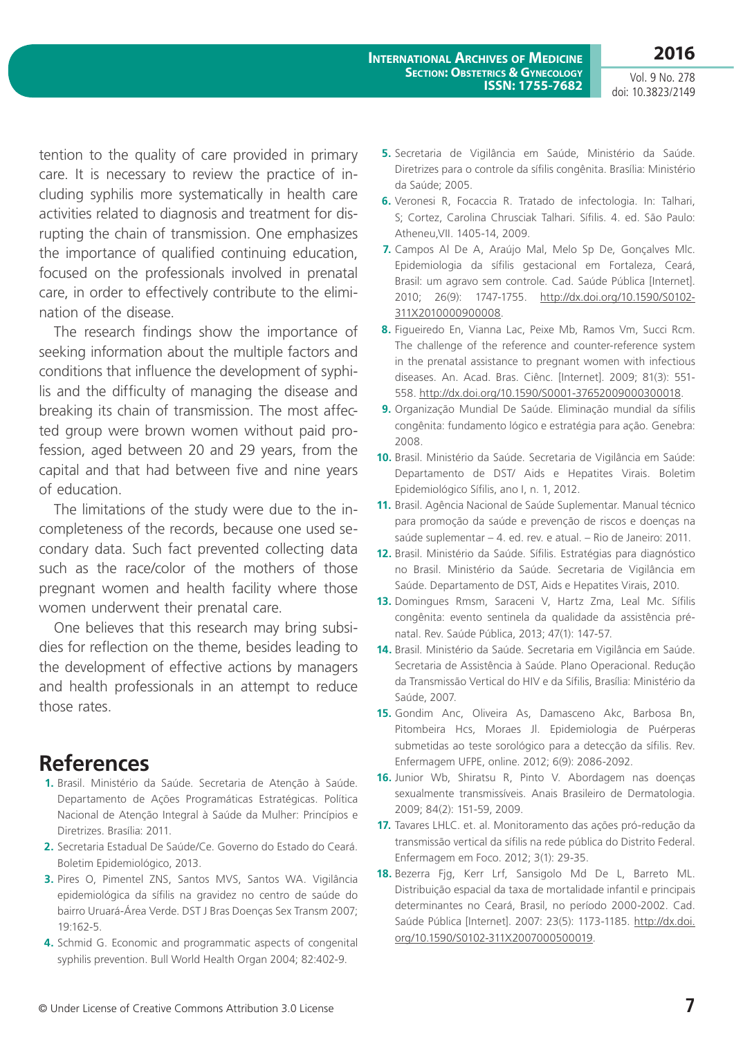Vol. 9 No. 278 doi: 10.3823/2149

tention to the quality of care provided in primary care. It is necessary to review the practice of including syphilis more systematically in health care activities related to diagnosis and treatment for disrupting the chain of transmission. One emphasizes the importance of qualified continuing education, focused on the professionals involved in prenatal care, in order to effectively contribute to the elimination of the disease.

The research findings show the importance of seeking information about the multiple factors and conditions that influence the development of syphilis and the difficulty of managing the disease and breaking its chain of transmission. The most affected group were brown women without paid profession, aged between 20 and 29 years, from the capital and that had between five and nine years of education.

The limitations of the study were due to the incompleteness of the records, because one used secondary data. Such fact prevented collecting data such as the race/color of the mothers of those pregnant women and health facility where those women underwent their prenatal care.

One believes that this research may bring subsidies for reflection on the theme, besides leading to the development of effective actions by managers and health professionals in an attempt to reduce those rates.

#### **References**

- **1.** Brasil. Ministério da Saúde. Secretaria de Atenção à Saúde. Departamento de Ações Programáticas Estratégicas. Política Nacional de Atenção Integral à Saúde da Mulher: Princípios e Diretrizes. Brasília: 2011.
- **2.** Secretaria Estadual De Saúde/Ce. Governo do Estado do Ceará. Boletim Epidemiológico, 2013.
- **3.** Pires O, Pimentel ZNS, Santos MVS, Santos WA. Vigilância epidemiológica da sífilis na gravidez no centro de saúde do bairro Uruará-Área Verde. DST J Bras Doenças Sex Transm 2007; 19:162-5.
- **4.** Schmid G. Economic and programmatic aspects of congenital syphilis prevention. Bull World Health Organ 2004; 82:402-9.
- **5.** Secretaria de Vigilância em Saúde, Ministério da Saúde. Diretrizes para o controle da sífilis congênita. Brasília: Ministério da Saúde; 2005.
- **6.** Veronesi R, Focaccia R. Tratado de infectologia. In: Talhari, S; Cortez, Carolina Chrusciak Talhari. Sífilis. 4. ed. São Paulo: Atheneu,VII. 1405-14, 2009.
- **7.** Campos Al De A, Araújo Mal, Melo Sp De, Gonçalves Mlc. Epidemiologia da sífilis gestacional em Fortaleza, Ceará, Brasil: um agravo sem controle. Cad. Saúde Pública [Internet]. 2010; 26(9): 1747-1755. http://dx.doi.org/10.1590/S0102- 311X2010000900008.
- **8.** Figueiredo En, Vianna Lac, Peixe Mb, Ramos Vm, Succi Rcm. The challenge of the reference and counter-reference system in the prenatal assistance to pregnant women with infectious diseases. An. Acad. Bras. Ciênc. [Internet]. 2009; 81(3): 551- 558. http://dx.doi.org/10.1590/S0001-37652009000300018.
- **9.** Organização Mundial De Saúde. Eliminação mundial da sífilis congênita: fundamento lógico e estratégia para ação. Genebra: 2008.
- **10.** Brasil. Ministério da Saúde. Secretaria de Vigilância em Saúde: Departamento de DST/ Aids e Hepatites Virais. Boletim Epidemiológico Sífilis, ano I, n. 1, 2012.
- **11.** Brasil. Agência Nacional de Saúde Suplementar. Manual técnico para promoção da saúde e prevenção de riscos e doenças na saúde suplementar – 4. ed. rev. e atual. – Rio de Janeiro: 2011.
- **12.** Brasil. Ministério da Saúde. Sífilis. Estratégias para diagnóstico no Brasil. Ministério da Saúde. Secretaria de Vigilância em Saúde. Departamento de DST, Aids e Hepatites Virais, 2010.
- **13.** Domingues Rmsm, Saraceni V, Hartz Zma, Leal Mc. Sífilis congênita: evento sentinela da qualidade da assistência prénatal. Rev. Saúde Pública, 2013; 47(1): 147-57.
- **14.** Brasil. Ministério da Saúde. Secretaria em Vigilância em Saúde. Secretaria de Assistência à Saúde. Plano Operacional. Redução da Transmissão Vertical do HIV e da Sífilis, Brasília: Ministério da Saúde, 2007.
- **15.** Gondim Anc, Oliveira As, Damasceno Akc, Barbosa Bn, Pitombeira Hcs, Moraes Jl. Epidemiologia de Puérperas submetidas ao teste sorológico para a detecção da sífilis. Rev. Enfermagem UFPE, online. 2012; 6(9): 2086-2092.
- **16.** Junior Wb, Shiratsu R, Pinto V. Abordagem nas doenças sexualmente transmissíveis. Anais Brasileiro de Dermatologia. 2009; 84(2): 151-59, 2009.
- **17.** Tavares LHLC. et. al. Monitoramento das ações pró-redução da transmissão vertical da sífilis na rede pública do Distrito Federal. Enfermagem em Foco. 2012; 3(1): 29-35.
- **18.** Bezerra Fjg, Kerr Lrf, Sansigolo Md De L, Barreto ML. Distribuição espacial da taxa de mortalidade infantil e principais determinantes no Ceará, Brasil, no período 2000-2002. Cad. Saúde Pública [Internet]. 2007: 23(5): 1173-1185. http://dx.doi. org/10.1590/S0102-311X2007000500019.